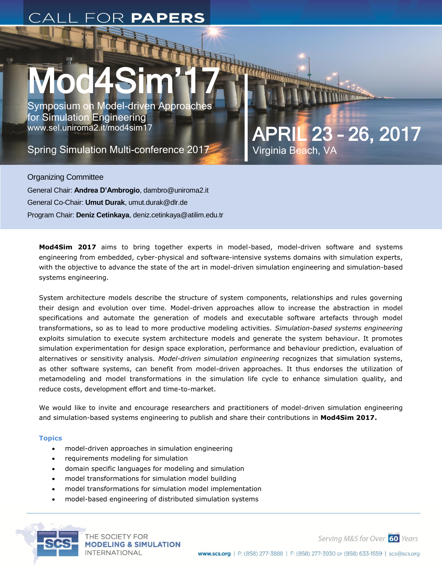# Mod4Sim'17 Symposium on Model-driven Approaches<br>for Simulation Engineering<br>Spring Simulation Multi-conference 2017<br>Spring Simulation Multi-conference 2017<br>Virginia Beach, VA

Symposium on Model-driven Approaches for Simulation Engineering www.sel.uniroma2.it/mod4sim17

Virginia Beach, VA

Organizing Committee General Chair: **Andrea D'Ambrogio**, dambro@uniroma2.it General Co-Chair: **Umut Durak**, umut.durak@dlr.de Program Chair: **Deniz Cetinkaya**, deniz.cetinkaya@atilim.edu.tr

**Mod4Sim 2017** aims to bring together experts in model-based, model-driven software and systems engineering from embedded, cyber-physical and software-intensive systems domains with simulation experts, with the objective to advance the state of the art in model-driven simulation engineering and simulation-based systems engineering.

System architecture models describe the structure of system components, relationships and rules governing their design and evolution over time. Model-driven approaches allow to increase the abstraction in model specifications and automate the generation of models and executable software artefacts through model transformations, so as to lead to more productive modeling activities. *Simulation-based systems engineering* exploits simulation to execute system architecture models and generate the system behaviour. It promotes simulation experimentation for design space exploration, performance and behaviour prediction, evaluation of alternatives or sensitivity analysis. *Model-driven simulation engineering* recognizes that simulation systems, as other software systems, can benefit from model-driven approaches. It thus endorses the utilization of metamodeling and model transformations in the simulation life cycle to enhance simulation quality, and reduce costs, development effort and time-to-market.

We would like to invite and encourage researchers and practitioners of model-driven simulation engineering and simulation-based systems engineering to publish and share their contributions in **Mod4Sim 2017.**

# **Topics**

- model-driven approaches in simulation engineering
- requirements modeling for simulation
- domain specific languages for modeling and simulation
- model transformations for simulation model building
- model transformations for simulation model implementation
- model-based engineering of distributed simulation systems



THE SOCIETY FOR **MODELING & SIMULATION INTERNATIONAL** 

Serving M&S for Over 60 Years